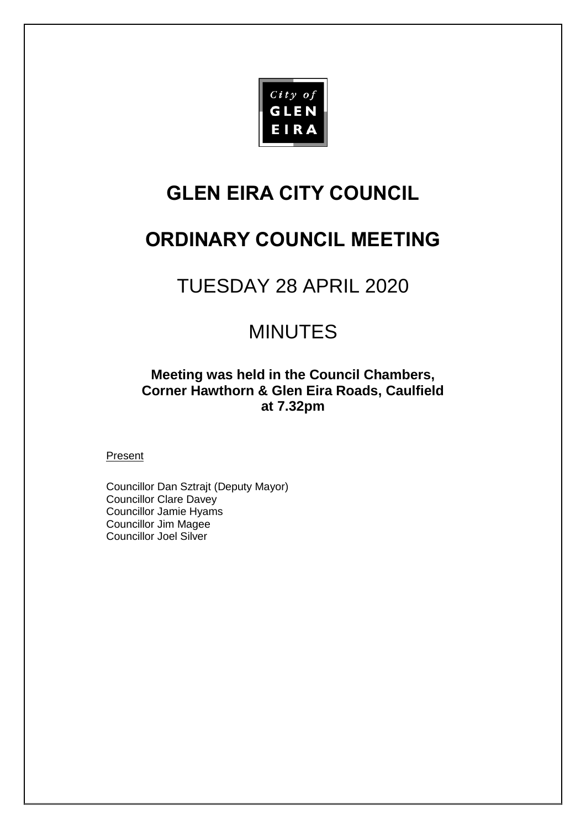

# **GLEN EIRA CITY COUNCIL**

# **ORDINARY COUNCIL MEETING**

TUESDAY 28 APRIL 2020

# MINUTES

**Meeting was held in the Council Chambers, Corner Hawthorn & Glen Eira Roads, Caulfield at 7.32pm**

### **Present**

Councillor Dan Sztrajt (Deputy Mayor) Councillor Clare Davey Councillor Jamie Hyams Councillor Jim Magee Councillor Joel Silver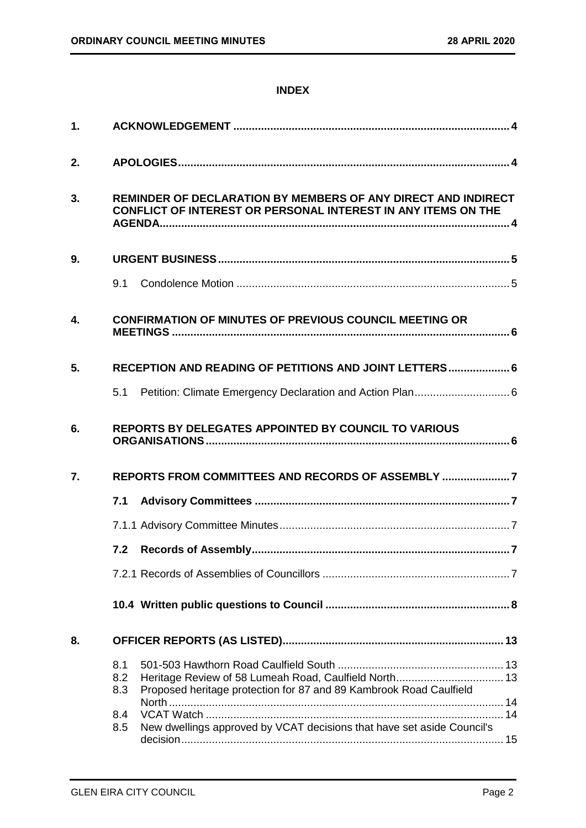### **INDEX**

| 1. |                                                                                                                                                  |  |
|----|--------------------------------------------------------------------------------------------------------------------------------------------------|--|
| 2. |                                                                                                                                                  |  |
| 3. | REMINDER OF DECLARATION BY MEMBERS OF ANY DIRECT AND INDIRECT<br><b>CONFLICT OF INTEREST OR PERSONAL INTEREST IN ANY ITEMS ON THE</b>            |  |
| 9. |                                                                                                                                                  |  |
|    | 9.1                                                                                                                                              |  |
| 4. | <b>CONFIRMATION OF MINUTES OF PREVIOUS COUNCIL MEETING OR</b>                                                                                    |  |
| 5. | RECEPTION AND READING OF PETITIONS AND JOINT LETTERS 6                                                                                           |  |
|    | Petition: Climate Emergency Declaration and Action Plan 6<br>5.1                                                                                 |  |
| 6. | <b>REPORTS BY DELEGATES APPOINTED BY COUNCIL TO VARIOUS</b>                                                                                      |  |
| 7. | REPORTS FROM COMMITTEES AND RECORDS OF ASSEMBLY                                                                                                  |  |
|    | 7.1                                                                                                                                              |  |
|    |                                                                                                                                                  |  |
|    | 7.2                                                                                                                                              |  |
|    |                                                                                                                                                  |  |
|    |                                                                                                                                                  |  |
| 8. |                                                                                                                                                  |  |
|    | 8.1<br>Heritage Review of 58 Lumeah Road, Caulfield North 13<br>8.2<br>Proposed heritage protection for 87 and 89 Kambrook Road Caulfield<br>8.3 |  |
|    | 8.4<br>New dwellings approved by VCAT decisions that have set aside Council's<br>8.5                                                             |  |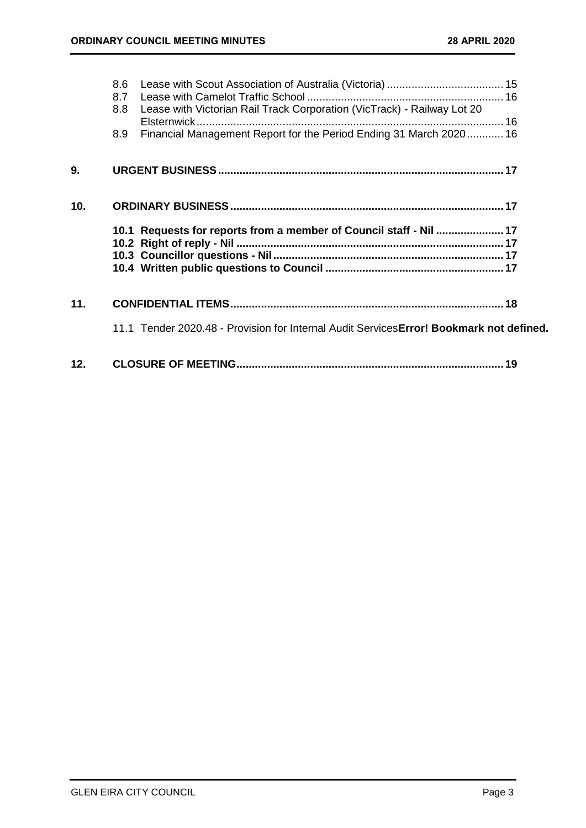|                 | 8.6<br>8.8 | Lease with Victorian Rail Track Corporation (VicTrack) - Railway Lot 20                  |
|-----------------|------------|------------------------------------------------------------------------------------------|
|                 | 8.9        | Financial Management Report for the Period Ending 31 March 2020 16                       |
| 9.              |            |                                                                                          |
| 10 <sub>1</sub> |            |                                                                                          |
|                 |            | 10.1 Requests for reports from a member of Council staff - Nil  17                       |
| 11.             |            |                                                                                          |
|                 |            | 11.1 Tender 2020.48 - Provision for Internal Audit Services Error! Bookmark not defined. |
| 12.             |            |                                                                                          |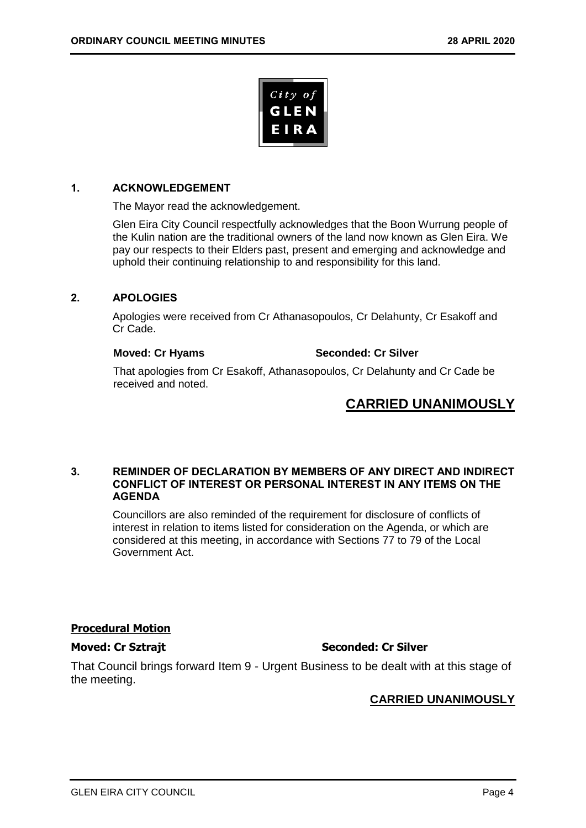

#### <span id="page-3-0"></span>**1. ACKNOWLEDGEMENT**

The Mayor read the acknowledgement.

Glen Eira City Council respectfully acknowledges that the Boon Wurrung people of the Kulin nation are the traditional owners of the land now known as Glen Eira. We pay our respects to their Elders past, present and emerging and acknowledge and uphold their continuing relationship to and responsibility for this land.

#### <span id="page-3-1"></span>**2. APOLOGIES**

Apologies were received from Cr Athanasopoulos, Cr Delahunty, Cr Esakoff and Cr Cade.

**Moved: Cr Hyams Seconded: Cr Silver**

That apologies from Cr Esakoff, Athanasopoulos, Cr Delahunty and Cr Cade be received and noted.

## **CARRIED UNANIMOUSLY**

#### <span id="page-3-2"></span>**3. REMINDER OF DECLARATION BY MEMBERS OF ANY DIRECT AND INDIRECT CONFLICT OF INTEREST OR PERSONAL INTEREST IN ANY ITEMS ON THE AGENDA**

Councillors are also reminded of the requirement for disclosure of conflicts of interest in relation to items listed for consideration on the Agenda, or which are considered at this meeting, in accordance with Sections 77 to 79 of the Local Government Act.

### **Procedural Motion**

**Moved: Cr Sztrajt Seconded: Cr Silver** 

That Council brings forward Item 9 - Urgent Business to be dealt with at this stage of the meeting.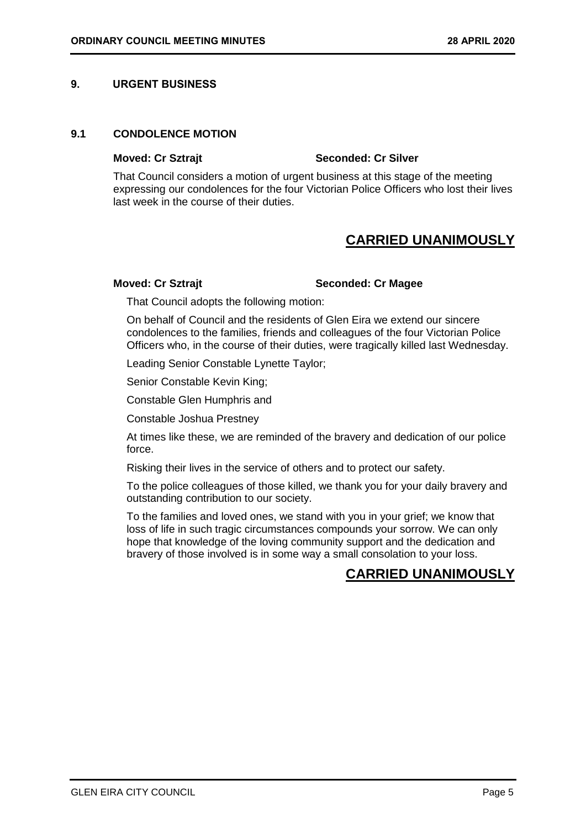#### <span id="page-4-1"></span><span id="page-4-0"></span>**9. URGENT BUSINESS**

#### **9.1 CONDOLENCE MOTION**

### **Moved: Cr Sztrajt Seconded: Cr Silver**

That Council considers a motion of urgent business at this stage of the meeting expressing our condolences for the four Victorian Police Officers who lost their lives last week in the course of their duties.

## **CARRIED UNANIMOUSLY**

#### **Moved: Cr Sztrajt Seconded: Cr Magee**

That Council adopts the following motion:

On behalf of Council and the residents of Glen Eira we extend our sincere condolences to the families, friends and colleagues of the four Victorian Police Officers who, in the course of their duties, were tragically killed last Wednesday.

Leading Senior Constable Lynette Taylor;

Senior Constable Kevin King;

Constable Glen Humphris and

Constable Joshua Prestney

At times like these, we are reminded of the bravery and dedication of our police force.

Risking their lives in the service of others and to protect our safety.

To the police colleagues of those killed, we thank you for your daily bravery and outstanding contribution to our society.

To the families and loved ones, we stand with you in your grief; we know that loss of life in such tragic circumstances compounds your sorrow. We can only hope that knowledge of the loving community support and the dedication and bravery of those involved is in some way a small consolation to your loss.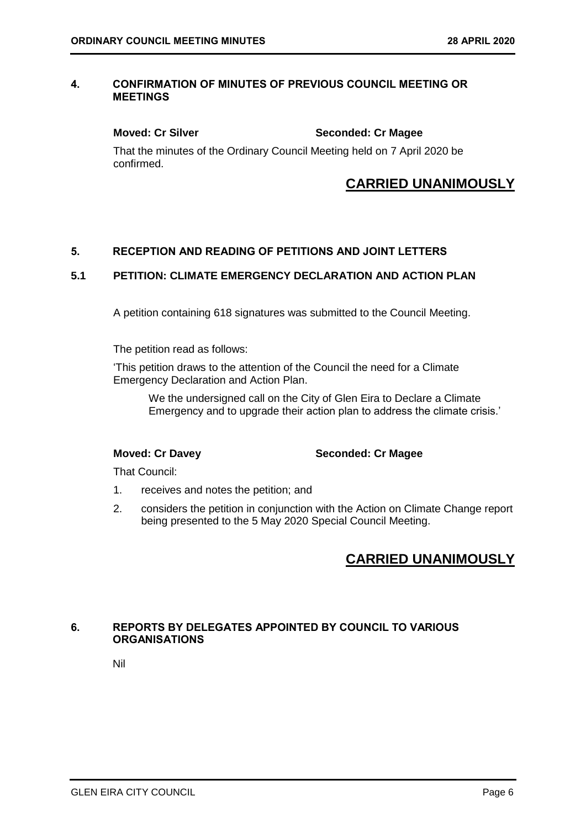### <span id="page-5-2"></span><span id="page-5-0"></span>**4. CONFIRMATION OF MINUTES OF PREVIOUS COUNCIL MEETING OR MEETINGS**

**Moved: Cr Silver Seconded: Cr Magee** 

That the minutes of the Ordinary Council Meeting held on 7 April 2020 be confirmed.

## **CARRIED UNANIMOUSLY**

### <span id="page-5-1"></span>**5. RECEPTION AND READING OF PETITIONS AND JOINT LETTERS**

### **5.1 PETITION: CLIMATE EMERGENCY DECLARATION AND ACTION PLAN**

A petition containing 618 signatures was submitted to the Council Meeting.

The petition read as follows:

'This petition draws to the attention of the Council the need for a Climate Emergency Declaration and Action Plan.

We the undersigned call on the City of Glen Eira to Declare a Climate Emergency and to upgrade their action plan to address the climate crisis.'

**Moved: Cr Davey Seconded: Cr Magee**

That Council:

- 1. receives and notes the petition; and
- 2. considers the petition in conjunction with the Action on Climate Change report being presented to the 5 May 2020 Special Council Meeting.

## **CARRIED UNANIMOUSLY**

### <span id="page-5-3"></span>**6. REPORTS BY DELEGATES APPOINTED BY COUNCIL TO VARIOUS ORGANISATIONS**

Nil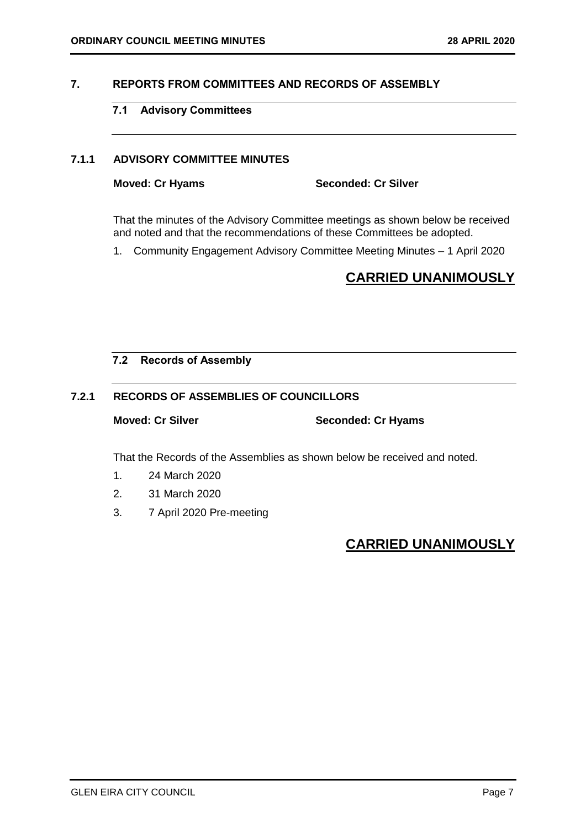### <span id="page-6-2"></span><span id="page-6-1"></span><span id="page-6-0"></span>**7. REPORTS FROM COMMITTEES AND RECORDS OF ASSEMBLY**

### **7.1 Advisory Committees**

#### **7.1.1 ADVISORY COMMITTEE MINUTES**

**Moved: Cr Hyams Seconded: Cr Silver**

That the minutes of the Advisory Committee meetings as shown below be received and noted and that the recommendations of these Committees be adopted.

1. Community Engagement Advisory Committee Meeting Minutes – 1 April 2020

## **CARRIED UNANIMOUSLY**

### <span id="page-6-3"></span>**7.2 Records of Assembly**

### **7.2.1 RECORDS OF ASSEMBLIES OF COUNCILLORS**

**Moved: Cr Silver Seconded: Cr Hyams** 

That the Records of the Assemblies as shown below be received and noted.

- 1. 24 March 2020
- 2. 31 March 2020
- 3. 7 April 2020 Pre-meeting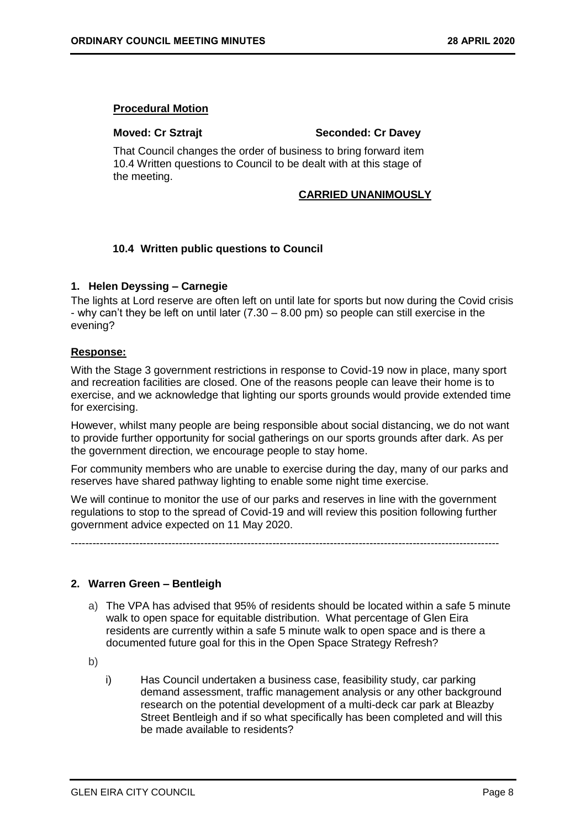#### **Procedural Motion**

#### **Moved: Cr Sztrait Seconded: Cr Davey Seconded: Cr Davey**

That Council changes the order of business to bring forward item 10.4 Written questions to Council to be dealt with at this stage of the meeting.

### **CARRIED UNANIMOUSLY**

### <span id="page-7-0"></span>**10.4 Written public questions to Council**

#### **1. Helen Deyssing – Carnegie**

The lights at Lord reserve are often left on until late for sports but now during the Covid crisis - why can't they be left on until later (7.30 – 8.00 pm) so people can still exercise in the evening?

#### **Response:**

With the Stage 3 government restrictions in response to Covid-19 now in place, many sport and recreation facilities are closed. One of the reasons people can leave their home is to exercise, and we acknowledge that lighting our sports grounds would provide extended time for exercising.

However, whilst many people are being responsible about social distancing, we do not want to provide further opportunity for social gatherings on our sports grounds after dark. As per the government direction, we encourage people to stay home.

For community members who are unable to exercise during the day, many of our parks and reserves have shared pathway lighting to enable some night time exercise.

We will continue to monitor the use of our parks and reserves in line with the government regulations to stop to the spread of Covid-19 and will review this position following further government advice expected on 11 May 2020.

-----------------------------------------------------------------------------------------------------------------------

#### **2. Warren Green – Bentleigh**

- a) The VPA has advised that 95% of residents should be located within a safe 5 minute walk to open space for equitable distribution. What percentage of Glen Eira residents are currently within a safe 5 minute walk to open space and is there a documented future goal for this in the Open Space Strategy Refresh?
- b)
- i) Has Council undertaken a business case, feasibility study, car parking demand assessment, traffic management analysis or any other background research on the potential development of a multi-deck car park at Bleazby Street Bentleigh and if so what specifically has been completed and will this be made available to residents?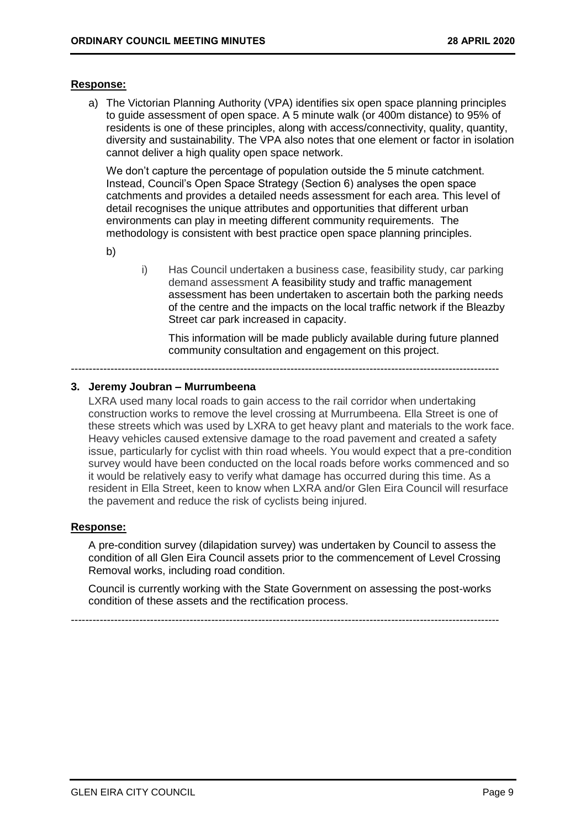#### **Response:**

a) The Victorian Planning Authority (VPA) identifies six open space planning principles to guide assessment of open space. A 5 minute walk (or 400m distance) to 95% of residents is one of these principles, along with access/connectivity, quality, quantity, diversity and sustainability. The VPA also notes that one element or factor in isolation cannot deliver a high quality open space network.

We don't capture the percentage of population outside the 5 minute catchment. Instead, Council's Open Space Strategy (Section 6) analyses the open space catchments and provides a detailed needs assessment for each area. This level of detail recognises the unique attributes and opportunities that different urban environments can play in meeting different community requirements. The methodology is consistent with best practice open space planning principles.

b)

i) Has Council undertaken a business case, feasibility study, car parking demand assessment A feasibility study and traffic management assessment has been undertaken to ascertain both the parking needs of the centre and the impacts on the local traffic network if the Bleazby Street car park increased in capacity.

This information will be made publicly available during future planned community consultation and engagement on this project.

### **3. Jeremy Joubran – Murrumbeena**

LXRA used many local roads to gain access to the rail corridor when undertaking construction works to remove the level crossing at Murrumbeena. Ella Street is one of these streets which was used by LXRA to get heavy plant and materials to the work face. Heavy vehicles caused extensive damage to the road pavement and created a safety issue, particularly for cyclist with thin road wheels. You would expect that a pre-condition survey would have been conducted on the local roads before works commenced and so it would be relatively easy to verify what damage has occurred during this time. As a resident in Ella Street, keen to know when LXRA and/or Glen Eira Council will resurface the pavement and reduce the risk of cyclists being injured.

-----------------------------------------------------------------------------------------------------------------------

### **Response:**

A pre-condition survey (dilapidation survey) was undertaken by Council to assess the condition of all Glen Eira Council assets prior to the commencement of Level Crossing Removal works, including road condition.

Council is currently working with the State Government on assessing the post-works condition of these assets and the rectification process.

-----------------------------------------------------------------------------------------------------------------------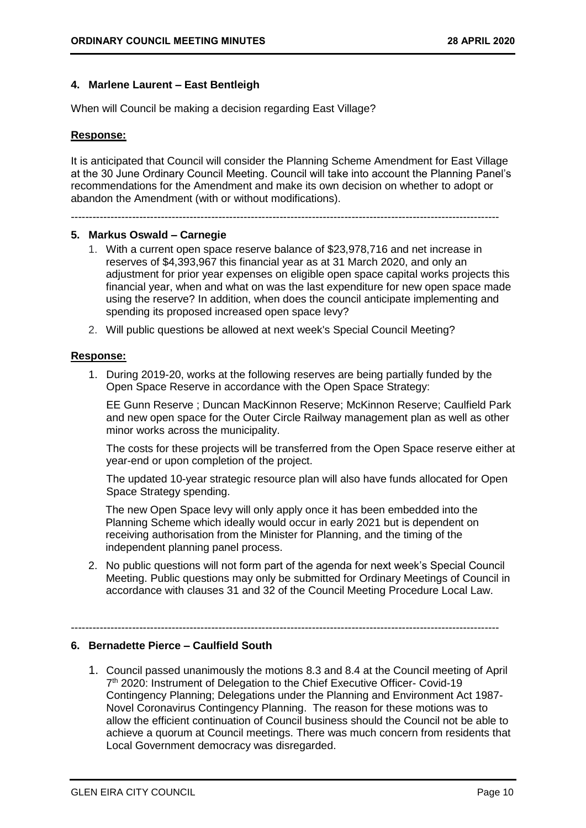#### **4. Marlene Laurent – East Bentleigh**

When will Council be making a decision regarding East Village?

#### **Response:**

It is anticipated that Council will consider the Planning Scheme Amendment for East Village at the 30 June Ordinary Council Meeting. Council will take into account the Planning Panel's recommendations for the Amendment and make its own decision on whether to adopt or abandon the Amendment (with or without modifications).

-----------------------------------------------------------------------------------------------------------------------

#### **5. Markus Oswald – Carnegie**

- 1. With a current open space reserve balance of \$23,978,716 and net increase in reserves of \$4,393,967 this financial year as at 31 March 2020, and only an adjustment for prior year expenses on eligible open space capital works projects this financial year, when and what on was the last expenditure for new open space made using the reserve? In addition, when does the council anticipate implementing and spending its proposed increased open space levy?
- 2. Will public questions be allowed at next week's Special Council Meeting?

#### **Response:**

1. During 2019-20, works at the following reserves are being partially funded by the Open Space Reserve in accordance with the Open Space Strategy:

EE Gunn Reserve ; Duncan MacKinnon Reserve; McKinnon Reserve; Caulfield Park and new open space for the Outer Circle Railway management plan as well as other minor works across the municipality.

The costs for these projects will be transferred from the Open Space reserve either at year-end or upon completion of the project.

The updated 10-year strategic resource plan will also have funds allocated for Open Space Strategy spending.

The new Open Space levy will only apply once it has been embedded into the Planning Scheme which ideally would occur in early 2021 but is dependent on receiving authorisation from the Minister for Planning, and the timing of the independent planning panel process.

2. No public questions will not form part of the agenda for next week's Special Council Meeting. Public questions may only be submitted for Ordinary Meetings of Council in accordance with clauses 31 and 32 of the Council Meeting Procedure Local Law.

#### -----------------------------------------------------------------------------------------------------------------------

#### **6. Bernadette Pierce – Caulfield South**

1. Council passed unanimously the motions 8.3 and 8.4 at the Council meeting of April 7<sup>th</sup> 2020: Instrument of Delegation to the Chief Executive Officer- Covid-19 Contingency Planning; Delegations under the Planning and Environment Act 1987- Novel Coronavirus Contingency Planning. The reason for these motions was to allow the efficient continuation of Council business should the Council not be able to achieve a quorum at Council meetings. There was much concern from residents that Local Government democracy was disregarded.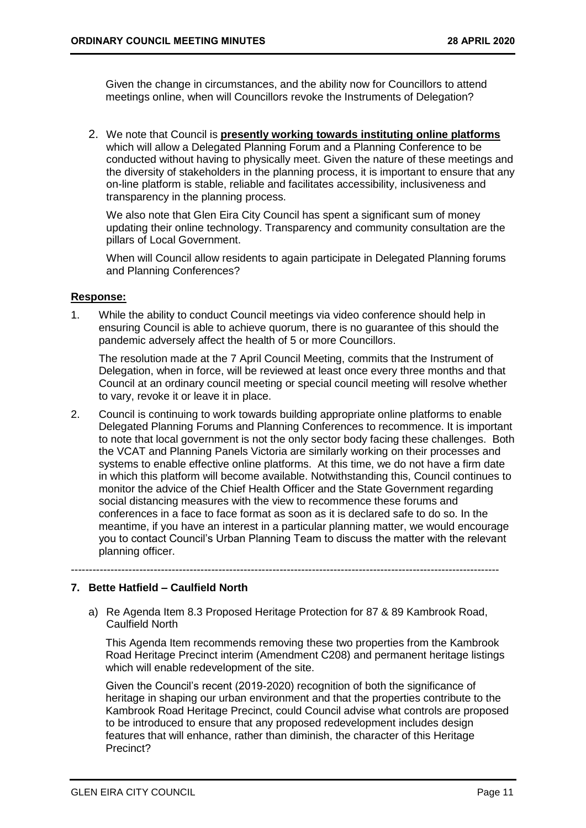Given the change in circumstances, and the ability now for Councillors to attend meetings online, when will Councillors revoke the Instruments of Delegation?

2. We note that Council is **presently working towards instituting online platforms** which will allow a Delegated Planning Forum and a Planning Conference to be conducted without having to physically meet. Given the nature of these meetings and the diversity of stakeholders in the planning process, it is important to ensure that any on-line platform is stable, reliable and facilitates accessibility, inclusiveness and transparency in the planning process.

We also note that Glen Eira City Council has spent a significant sum of money updating their online technology. Transparency and community consultation are the pillars of Local Government.

When will Council allow residents to again participate in Delegated Planning forums and Planning Conferences?

#### **Response:**

1. While the ability to conduct Council meetings via video conference should help in ensuring Council is able to achieve quorum, there is no guarantee of this should the pandemic adversely affect the health of 5 or more Councillors.

The resolution made at the 7 April Council Meeting, commits that the Instrument of Delegation, when in force, will be reviewed at least once every three months and that Council at an ordinary council meeting or special council meeting will resolve whether to vary, revoke it or leave it in place.

2. Council is continuing to work towards building appropriate online platforms to enable Delegated Planning Forums and Planning Conferences to recommence. It is important to note that local government is not the only sector body facing these challenges. Both the VCAT and Planning Panels Victoria are similarly working on their processes and systems to enable effective online platforms. At this time, we do not have a firm date in which this platform will become available. Notwithstanding this, Council continues to monitor the advice of the Chief Health Officer and the State Government regarding social distancing measures with the view to recommence these forums and conferences in a face to face format as soon as it is declared safe to do so. In the meantime, if you have an interest in a particular planning matter, we would encourage you to contact Council's Urban Planning Team to discuss the matter with the relevant planning officer.

#### **7. Bette Hatfield – Caulfield North**

a) Re Agenda Item 8.3 Proposed Heritage Protection for 87 & 89 Kambrook Road, Caulfield North

-----------------------------------------------------------------------------------------------------------------------

This Agenda Item recommends removing these two properties from the Kambrook Road Heritage Precinct interim (Amendment C208) and permanent heritage listings which will enable redevelopment of the site.

Given the Council's recent (2019-2020) recognition of both the significance of heritage in shaping our urban environment and that the properties contribute to the Kambrook Road Heritage Precinct, could Council advise what controls are proposed to be introduced to ensure that any proposed redevelopment includes design features that will enhance, rather than diminish, the character of this Heritage Precinct?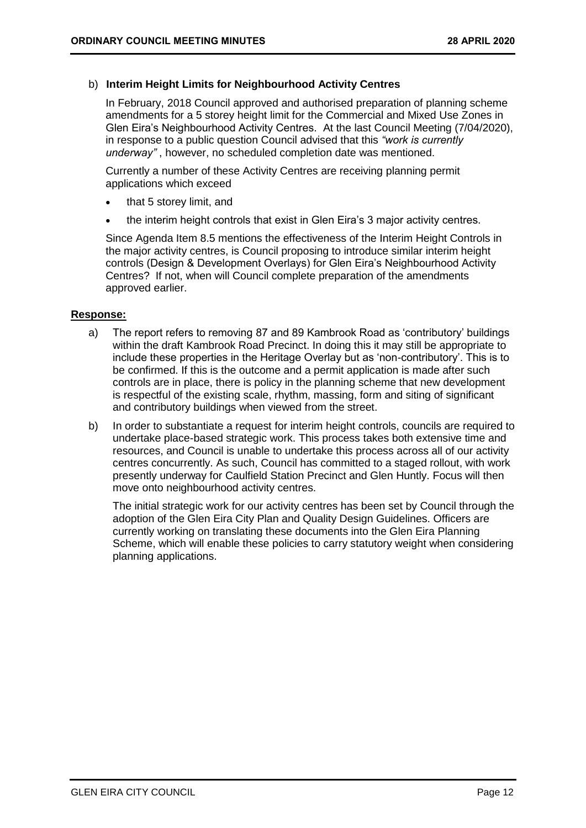#### b) **Interim Height Limits for Neighbourhood Activity Centres**

In February, 2018 Council approved and authorised preparation of planning scheme amendments for a 5 storey height limit for the Commercial and Mixed Use Zones in Glen Eira's Neighbourhood Activity Centres. At the last Council Meeting (7/04/2020), in response to a public question Council advised that this *"work is currently underway"* , however, no scheduled completion date was mentioned.

Currently a number of these Activity Centres are receiving planning permit applications which exceed

- that 5 storey limit, and
- the interim height controls that exist in Glen Eira's 3 major activity centres.

Since Agenda Item 8.5 mentions the effectiveness of the Interim Height Controls in the major activity centres, is Council proposing to introduce similar interim height controls (Design & Development Overlays) for Glen Eira's Neighbourhood Activity Centres? If not, when will Council complete preparation of the amendments approved earlier.

#### **Response:**

- a) The report refers to removing 87 and 89 Kambrook Road as 'contributory' buildings within the draft Kambrook Road Precinct. In doing this it may still be appropriate to include these properties in the Heritage Overlay but as 'non-contributory'. This is to be confirmed. If this is the outcome and a permit application is made after such controls are in place, there is policy in the planning scheme that new development is respectful of the existing scale, rhythm, massing, form and siting of significant and contributory buildings when viewed from the street.
- b) In order to substantiate a request for interim height controls, councils are required to undertake place-based strategic work. This process takes both extensive time and resources, and Council is unable to undertake this process across all of our activity centres concurrently. As such, Council has committed to a staged rollout, with work presently underway for Caulfield Station Precinct and Glen Huntly. Focus will then move onto neighbourhood activity centres.

The initial strategic work for our activity centres has been set by Council through the adoption of the Glen Eira City Plan and Quality Design Guidelines. Officers are currently working on translating these documents into the Glen Eira Planning Scheme, which will enable these policies to carry statutory weight when considering planning applications.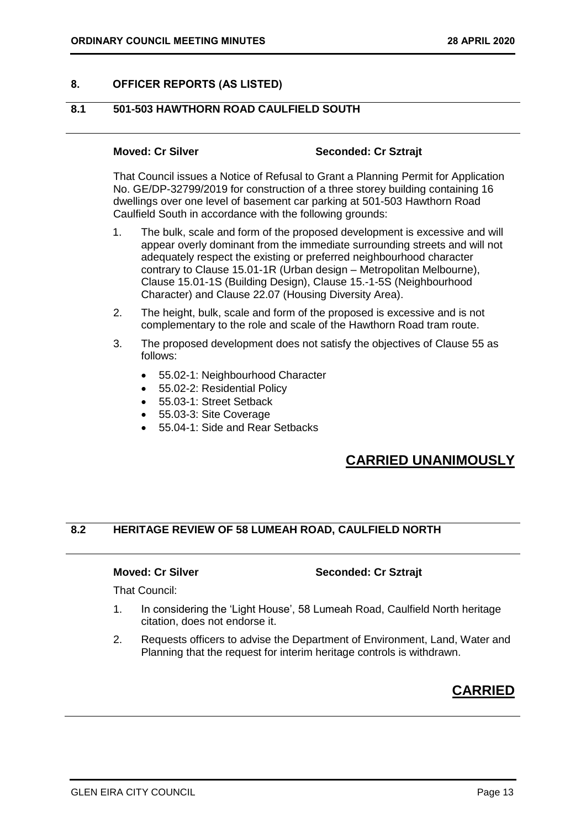### <span id="page-12-1"></span><span id="page-12-0"></span>**8. OFFICER REPORTS (AS LISTED)**

### **8.1 501-503 HAWTHORN ROAD CAULFIELD SOUTH**

#### **Moved: Cr Silver Seconded: Cr Sztrajt**

That Council issues a Notice of Refusal to Grant a Planning Permit for Application No. GE/DP-32799/2019 for construction of a three storey building containing 16 dwellings over one level of basement car parking at 501-503 Hawthorn Road Caulfield South in accordance with the following grounds:

- 1. The bulk, scale and form of the proposed development is excessive and will appear overly dominant from the immediate surrounding streets and will not adequately respect the existing or preferred neighbourhood character contrary to Clause 15.01-1R (Urban design – Metropolitan Melbourne), Clause 15.01-1S (Building Design), Clause 15.-1-5S (Neighbourhood Character) and Clause 22.07 (Housing Diversity Area).
- 2. The height, bulk, scale and form of the proposed is excessive and is not complementary to the role and scale of the Hawthorn Road tram route.
- 3. The proposed development does not satisfy the objectives of Clause 55 as follows:
	- 55.02-1: Neighbourhood Character
	- 55.02-2: Residential Policy
	- 55.03-1: Street Setback
	- 55.03-3: Site Coverage
	- 55.04-1: Side and Rear Setbacks

## **CARRIED UNANIMOUSLY**

### **8.2 HERITAGE REVIEW OF 58 LUMEAH ROAD, CAULFIELD NORTH**

#### **Moved: Cr Silver Seconded: Cr Sztrajt**

That Council:

- 1. In considering the 'Light House', 58 Lumeah Road, Caulfield North heritage citation, does not endorse it.
- 2. Requests officers to advise the Department of Environment, Land, Water and Planning that the request for interim heritage controls is withdrawn.

## **CARRIED**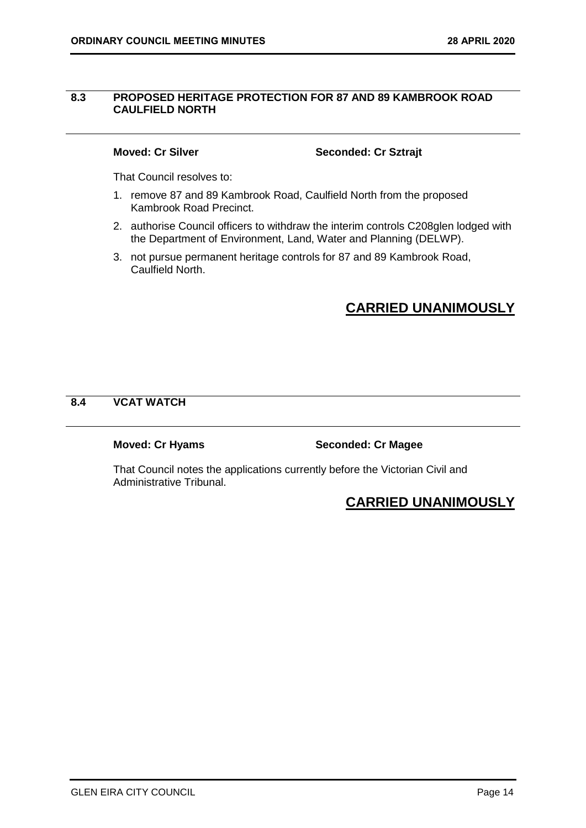### <span id="page-13-0"></span>**8.3 PROPOSED HERITAGE PROTECTION FOR 87 AND 89 KAMBROOK ROAD CAULFIELD NORTH**

**Moved: Cr Silver Seconded: Cr Sztrajt**

That Council resolves to:

- 1. remove 87 and 89 Kambrook Road, Caulfield North from the proposed Kambrook Road Precinct.
- 2. authorise Council officers to withdraw the interim controls C208glen lodged with the Department of Environment, Land, Water and Planning (DELWP).
- 3. not pursue permanent heritage controls for 87 and 89 Kambrook Road, Caulfield North.

## **CARRIED UNANIMOUSLY**

### **8.4 VCAT WATCH**

**Moved: Cr Hyams Seconded: Cr Magee**

That Council notes the applications currently before the Victorian Civil and Administrative Tribunal.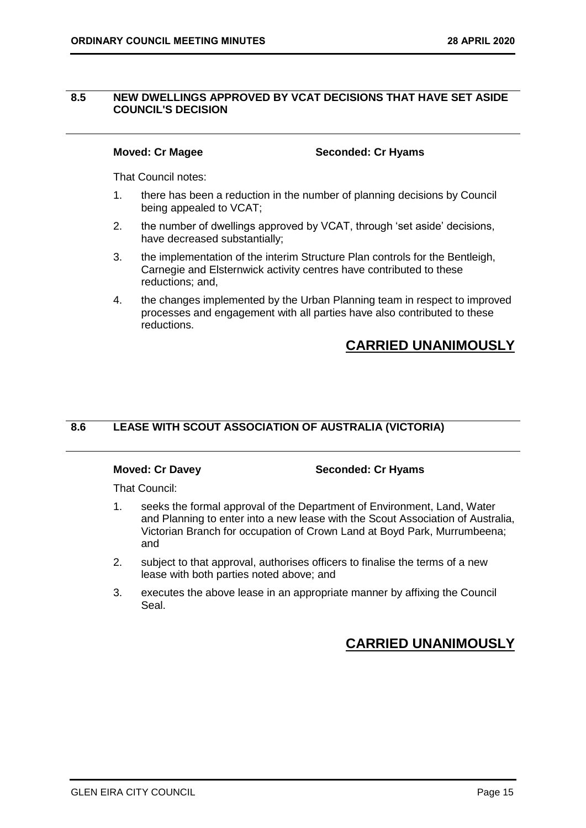### <span id="page-14-0"></span>**8.5 NEW DWELLINGS APPROVED BY VCAT DECISIONS THAT HAVE SET ASIDE COUNCIL'S DECISION**

#### **Moved: Cr Magee Seconded: Cr Hyams**

That Council notes:

- 1. there has been a reduction in the number of planning decisions by Council being appealed to VCAT;
- 2. the number of dwellings approved by VCAT, through 'set aside' decisions, have decreased substantially;
- 3. the implementation of the interim Structure Plan controls for the Bentleigh, Carnegie and Elsternwick activity centres have contributed to these reductions; and,
- 4. the changes implemented by the Urban Planning team in respect to improved processes and engagement with all parties have also contributed to these reductions.

## **CARRIED UNANIMOUSLY**

### **8.6 LEASE WITH SCOUT ASSOCIATION OF AUSTRALIA (VICTORIA)**

### **Moved: Cr Davey Seconded: Cr Hyams**

That Council:

- 1. seeks the formal approval of the Department of Environment, Land, Water and Planning to enter into a new lease with the Scout Association of Australia, Victorian Branch for occupation of Crown Land at Boyd Park, Murrumbeena; and
- 2. subject to that approval, authorises officers to finalise the terms of a new lease with both parties noted above; and
- 3. executes the above lease in an appropriate manner by affixing the Council Seal.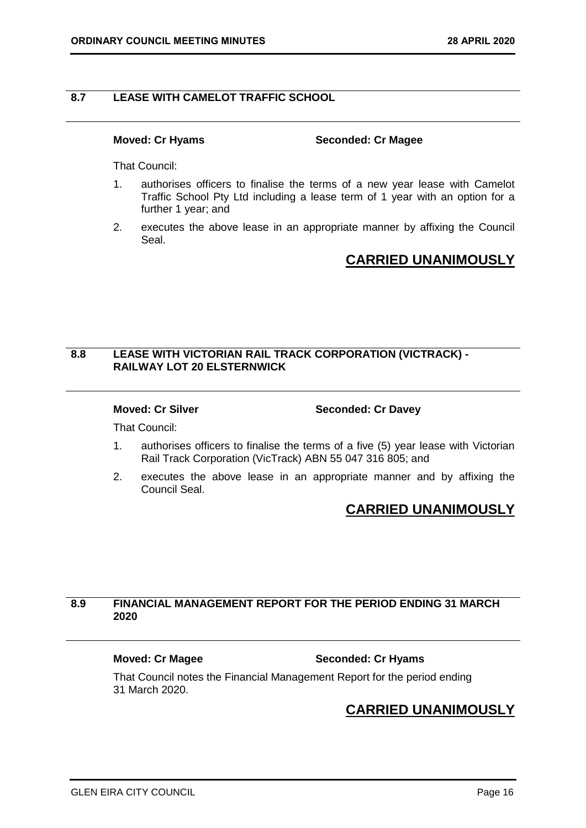### <span id="page-15-0"></span>**8.7 LEASE WITH CAMELOT TRAFFIC SCHOOL**

**Moved: Cr Hyams Seconded: Cr Magee**

That Council:

- 1. authorises officers to finalise the terms of a new year lease with Camelot Traffic School Pty Ltd including a lease term of 1 year with an option for a further 1 year; and
- 2. executes the above lease in an appropriate manner by affixing the Council Seal.

## **CARRIED UNANIMOUSLY**

### **8.8 LEASE WITH VICTORIAN RAIL TRACK CORPORATION (VICTRACK) - RAILWAY LOT 20 ELSTERNWICK**

**Moved: Cr Silver Seconded: Cr Davey** 

That Council:

- 1. authorises officers to finalise the terms of a five (5) year lease with Victorian Rail Track Corporation (VicTrack) ABN 55 047 316 805; and
- 2. executes the above lease in an appropriate manner and by affixing the Council Seal.

## **CARRIED UNANIMOUSLY**

#### **8.9 FINANCIAL MANAGEMENT REPORT FOR THE PERIOD ENDING 31 MARCH 2020**

#### **Moved: Cr Magee Seconded: Cr Hyams**

That Council notes the Financial Management Report for the period ending 31 March 2020.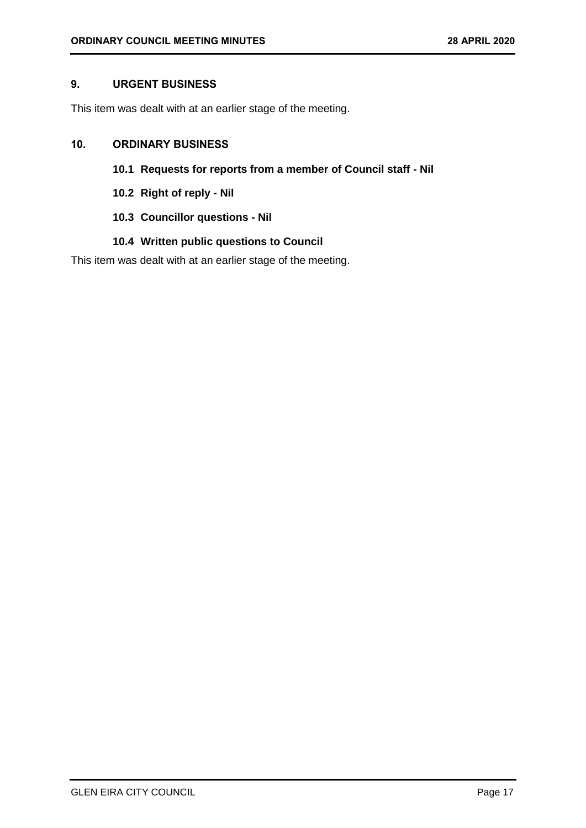### <span id="page-16-0"></span>**9. URGENT BUSINESS**

<span id="page-16-1"></span>This item was dealt with at an earlier stage of the meeting.

#### <span id="page-16-3"></span><span id="page-16-2"></span>**10. ORDINARY BUSINESS**

### **10.1 Requests for reports from a member of Council staff - Nil**

- **10.2 Right of reply - Nil**
- <span id="page-16-4"></span>**10.3 Councillor questions - Nil**

### **10.4 Written public questions to Council**

<span id="page-16-5"></span>This item was dealt with at an earlier stage of the meeting.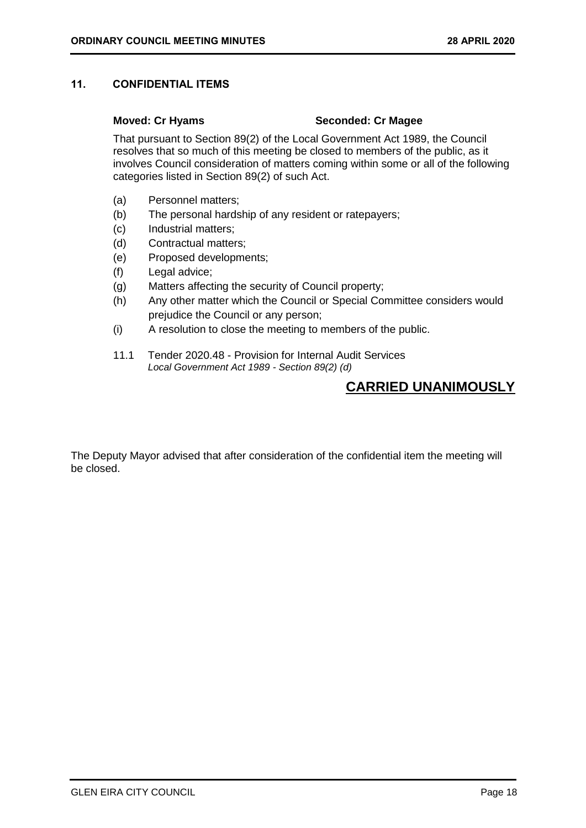### <span id="page-17-0"></span>**11. CONFIDENTIAL ITEMS**

#### **Moved: Cr Hyams Seconded: Cr Magee**

That pursuant to Section 89(2) of the Local Government Act 1989, the Council resolves that so much of this meeting be closed to members of the public, as it involves Council consideration of matters coming within some or all of the following categories listed in Section 89(2) of such Act.

- (a) Personnel matters;
- (b) The personal hardship of any resident or ratepayers;
- (c) Industrial matters;
- (d) Contractual matters;
- (e) Proposed developments;
- (f) Legal advice;
- (g) Matters affecting the security of Council property;
- (h) Any other matter which the Council or Special Committee considers would prejudice the Council or any person;
- (i) A resolution to close the meeting to members of the public.
- 11.1 Tender 2020.48 Provision for Internal Audit Services *Local Government Act 1989 - Section 89(2) (d)*

## **CARRIED UNANIMOUSLY**

The Deputy Mayor advised that after consideration of the confidential item the meeting will be closed.